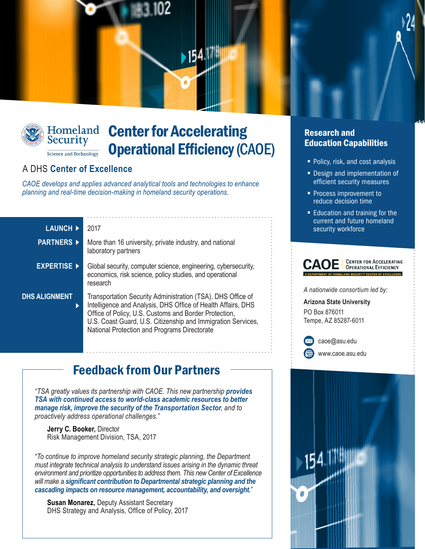



# Homeland **Center for Accelerating** Operational Efficiency (CAOE)

### A DHS **Center of Excellence**

*CAOE develops and applies advanced analytical tools and technologies to enhance planning and real-time decision-making in homeland security operations.*

| <b>LAUNCH ▶</b>           | 2017                                                                                                                                                                                                                                                                                                 |
|---------------------------|------------------------------------------------------------------------------------------------------------------------------------------------------------------------------------------------------------------------------------------------------------------------------------------------------|
| <b>PARTNERS ▶</b>         | More than 16 university, private industry, and national<br>laboratory partners                                                                                                                                                                                                                       |
| <b>EXPERTISE ▶</b>        | Global security, computer science, engineering, cybersecurity,<br>economics, risk science, policy studies, and operational<br>research                                                                                                                                                               |
| <b>DHS ALIGNMENT</b><br>ь | Transportation Security Administration (TSA), DHS Office of<br>Intelligence and Analysis, DHS Office of Health Affairs, DHS<br>Office of Policy, U.S. Customs and Border Protection,<br>U.S. Coast Guard, U.S. Citizenship and Immigration Services,<br>National Protection and Programs Directorate |

# Feedback from Our Partners

*"TSA greatly values its partnership with CAOE. This new partnership provides TSA with continued access to world-class academic resources to better manage risk, improve the security of the Transportation Sector, and to proactively address operational challenges."*

**Jerry C. Booker,** Director Risk Management Division, TSA, 2017

*"To continue to improve homeland security strategic planning, the Department must integrate technical analysis to understand issues arising in the dynamic threat environment and prioritize opportunities to address them. This new Center of Excellence will make a significant contribution to Departmental strategic planning and the cascading impacts on resource management, accountability, and oversight."*

**Susan Monarez,** Deputy Assistant Secretary DHS Strategy and Analysis, Office of Policy, 2017

#### Research and Education Capabilities

- Policy, risk, and cost analysis
- Design and implementation of efficient security measures
- **Process improvement to** reduce decision time
- **Education and training for the** current and future homeland security workforce



*A nationwide consortium led by:*

**Arizona State University** PO Box 876011 Tempe, AZ 85287-6011



[caoe@asu.edu](mailto:caoe@asu.edu) <www.caoe.asu.edu>